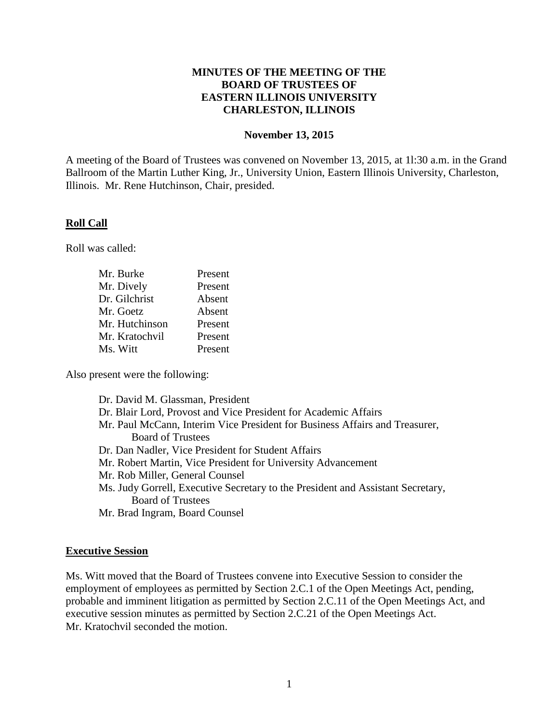## **MINUTES OF THE MEETING OF THE BOARD OF TRUSTEES OF EASTERN ILLINOIS UNIVERSITY CHARLESTON, ILLINOIS**

#### **November 13, 2015**

A meeting of the Board of Trustees was convened on November 13, 2015, at 1l:30 a.m. in the Grand Ballroom of the Martin Luther King, Jr., University Union, Eastern Illinois University, Charleston, Illinois. Mr. Rene Hutchinson, Chair, presided.

### **Roll Call**

Roll was called:

| Mr. Burke      | Present |
|----------------|---------|
| Mr. Dively     | Present |
| Dr. Gilchrist  | Absent  |
| Mr. Goetz      | Absent  |
| Mr. Hutchinson | Present |
| Mr. Kratochvil | Present |
| Ms. Witt       | Present |

Also present were the following:

| Dr. David M. Glassman, President                                                |
|---------------------------------------------------------------------------------|
| Dr. Blair Lord, Provost and Vice President for Academic Affairs                 |
| Mr. Paul McCann, Interim Vice President for Business Affairs and Treasurer,     |
| <b>Board of Trustees</b>                                                        |
| Dr. Dan Nadler, Vice President for Student Affairs                              |
| Mr. Robert Martin, Vice President for University Advancement                    |
| Mr. Rob Miller, General Counsel                                                 |
| Ms. Judy Gorrell, Executive Secretary to the President and Assistant Secretary, |
| <b>Board of Trustees</b>                                                        |
| Mr. Brad Ingram, Board Counsel                                                  |

# **Executive Session**

Ms. Witt moved that the Board of Trustees convene into Executive Session to consider the employment of employees as permitted by Section 2.C.1 of the Open Meetings Act, pending, probable and imminent litigation as permitted by Section 2.C.11 of the Open Meetings Act, and executive session minutes as permitted by Section 2.C.21 of the Open Meetings Act. Mr. Kratochvil seconded the motion.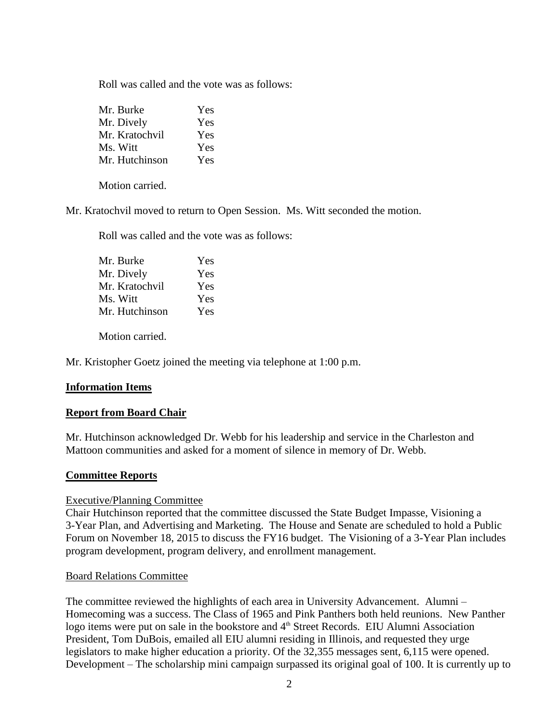Roll was called and the vote was as follows:

| Mr. Burke      | Yes |
|----------------|-----|
| Mr. Dively     | Yes |
| Mr. Kratochvil | Yes |
| Ms. Witt       | Yes |
| Mr. Hutchinson | Yes |

Motion carried.

Mr. Kratochvil moved to return to Open Session. Ms. Witt seconded the motion.

Roll was called and the vote was as follows:

| Mr. Burke      | Yes |
|----------------|-----|
| Mr. Dively     | Yes |
| Mr. Kratochvil | Yes |
| Ms. Witt       | Yes |
| Mr. Hutchinson | Yes |

Motion carried.

Mr. Kristopher Goetz joined the meeting via telephone at 1:00 p.m.

### **Information Items**

### **Report from Board Chair**

Mr. Hutchinson acknowledged Dr. Webb for his leadership and service in the Charleston and Mattoon communities and asked for a moment of silence in memory of Dr. Webb.

### **Committee Reports**

### Executive/Planning Committee

Chair Hutchinson reported that the committee discussed the State Budget Impasse, Visioning a 3-Year Plan, and Advertising and Marketing. The House and Senate are scheduled to hold a Public Forum on November 18, 2015 to discuss the FY16 budget. The Visioning of a 3-Year Plan includes program development, program delivery, and enrollment management.

### Board Relations Committee

The committee reviewed the highlights of each area in University Advancement. Alumni – Homecoming was a success. The Class of 1965 and Pink Panthers both held reunions. New Panther logo items were put on sale in the bookstore and  $4<sup>th</sup>$  Street Records. EIU Alumni Association President, Tom DuBois, emailed all EIU alumni residing in Illinois, and requested they urge legislators to make higher education a priority. Of the 32,355 messages sent, 6,115 were opened. Development – The scholarship mini campaign surpassed its original goal of 100. It is currently up to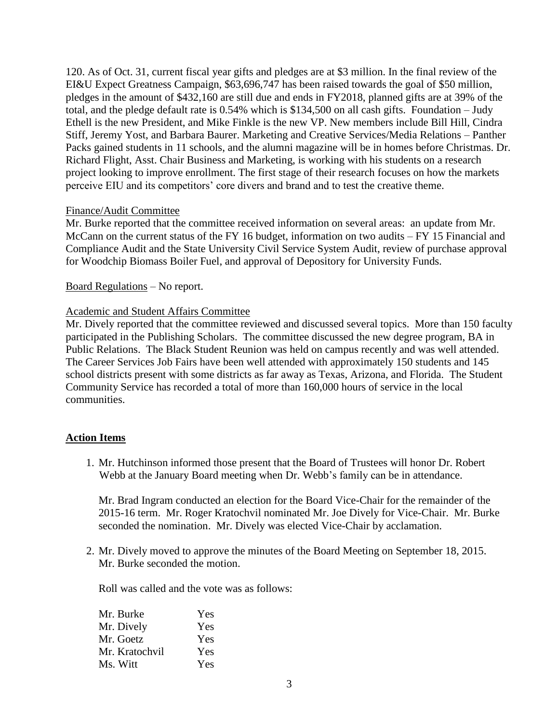120. As of Oct. 31, current fiscal year gifts and pledges are at \$3 million. In the final review of the EI&U Expect Greatness Campaign, \$63,696,747 has been raised towards the goal of \$50 million, pledges in the amount of \$432,160 are still due and ends in FY2018, planned gifts are at 39% of the total, and the pledge default rate is 0.54% which is \$134,500 on all cash gifts. Foundation – Judy Ethell is the new President, and Mike Finkle is the new VP. New members include Bill Hill, Cindra Stiff, Jeremy Yost, and Barbara Baurer. Marketing and Creative Services/Media Relations – Panther Packs gained students in 11 schools, and the alumni magazine will be in homes before Christmas. Dr. Richard Flight, Asst. Chair Business and Marketing, is working with his students on a research project looking to improve enrollment. The first stage of their research focuses on how the markets perceive EIU and its competitors' core divers and brand and to test the creative theme.

### Finance/Audit Committee

Mr. Burke reported that the committee received information on several areas: an update from Mr. McCann on the current status of the FY 16 budget, information on two audits – FY 15 Financial and Compliance Audit and the State University Civil Service System Audit, review of purchase approval for Woodchip Biomass Boiler Fuel, and approval of Depository for University Funds.

## Board Regulations – No report.

## Academic and Student Affairs Committee

Mr. Dively reported that the committee reviewed and discussed several topics. More than 150 faculty participated in the Publishing Scholars. The committee discussed the new degree program, BA in Public Relations. The Black Student Reunion was held on campus recently and was well attended. The Career Services Job Fairs have been well attended with approximately 150 students and 145 school districts present with some districts as far away as Texas, Arizona, and Florida. The Student Community Service has recorded a total of more than 160,000 hours of service in the local communities.

# **Action Items**

1. Mr. Hutchinson informed those present that the Board of Trustees will honor Dr. Robert Webb at the January Board meeting when Dr. Webb's family can be in attendance.

Mr. Brad Ingram conducted an election for the Board Vice-Chair for the remainder of the 2015-16 term. Mr. Roger Kratochvil nominated Mr. Joe Dively for Vice-Chair. Mr. Burke seconded the nomination. Mr. Dively was elected Vice-Chair by acclamation.

2. Mr. Dively moved to approve the minutes of the Board Meeting on September 18, 2015. Mr. Burke seconded the motion.

Roll was called and the vote was as follows:

| Mr. Burke      | Yes |
|----------------|-----|
| Mr. Dively     | Yes |
| Mr. Goetz      | Yes |
| Mr. Kratochvil | Yes |
| Ms. Witt       | Yes |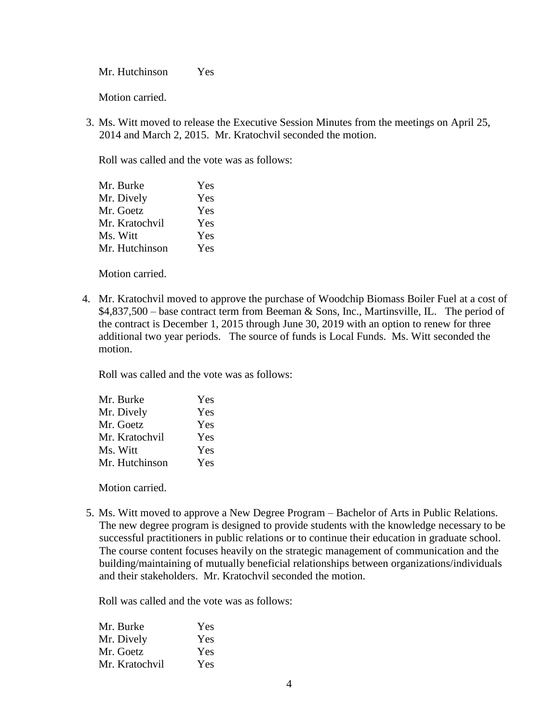Mr. Hutchinson Yes

Motion carried.

3. Ms. Witt moved to release the Executive Session Minutes from the meetings on April 25, 2014 and March 2, 2015. Mr. Kratochvil seconded the motion.

Roll was called and the vote was as follows:

| Mr. Burke      | Yes |
|----------------|-----|
| Mr. Dively     | Yes |
| Mr. Goetz      | Yes |
| Mr. Kratochvil | Yes |
| Ms. Witt       | Yes |
| Mr. Hutchinson | Yes |
|                |     |

Motion carried.

4. Mr. Kratochvil moved to approve the purchase of Woodchip Biomass Boiler Fuel at a cost of \$4,837,500 – base contract term from Beeman & Sons, Inc., Martinsville, IL. The period of the contract is December 1, 2015 through June 30, 2019 with an option to renew for three additional two year periods. The source of funds is Local Funds. Ms. Witt seconded the motion.

Roll was called and the vote was as follows:

| Yes |
|-----|
| Yes |
| Yes |
| Yes |
| Yes |
| Yes |
|     |

Motion carried.

5. Ms. Witt moved to approve a New Degree Program – Bachelor of Arts in Public Relations. The new degree program is designed to provide students with the knowledge necessary to be successful practitioners in public relations or to continue their education in graduate school. The course content focuses heavily on the strategic management of communication and the building/maintaining of mutually beneficial relationships between organizations/individuals and their stakeholders. Mr. Kratochvil seconded the motion.

Roll was called and the vote was as follows:

| Mr. Burke      | Yes |
|----------------|-----|
| Mr. Dively     | Yes |
| Mr. Goetz      | Yes |
| Mr. Kratochvil | Yes |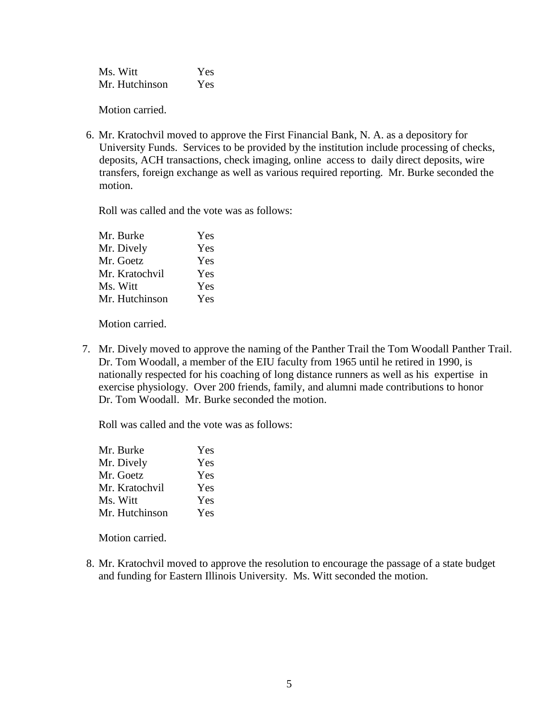Ms. Witt Yes Mr. Hutchinson Yes

Motion carried.

6. Mr. Kratochvil moved to approve the First Financial Bank, N. A. as a depository for University Funds. Services to be provided by the institution include processing of checks, deposits, ACH transactions, check imaging, online access to daily direct deposits, wire transfers, foreign exchange as well as various required reporting. Mr. Burke seconded the motion.

Roll was called and the vote was as follows:

| Yes |
|-----|
| Yes |
| Yes |
| Yes |
| Yes |
| Yes |
|     |

Motion carried.

7. Mr. Dively moved to approve the naming of the Panther Trail the Tom Woodall Panther Trail. Dr. Tom Woodall, a member of the EIU faculty from 1965 until he retired in 1990, is nationally respected for his coaching of long distance runners as well as his expertise in exercise physiology. Over 200 friends, family, and alumni made contributions to honor Dr. Tom Woodall. Mr. Burke seconded the motion.

Roll was called and the vote was as follows:

| Mr. Burke      | Yes |
|----------------|-----|
| Mr. Dively     | Yes |
| Mr. Goetz      | Yes |
| Mr. Kratochvil | Yes |
| Ms. Witt       | Yes |
| Mr. Hutchinson | Yes |

Motion carried.

8. Mr. Kratochvil moved to approve the resolution to encourage the passage of a state budget and funding for Eastern Illinois University. Ms. Witt seconded the motion.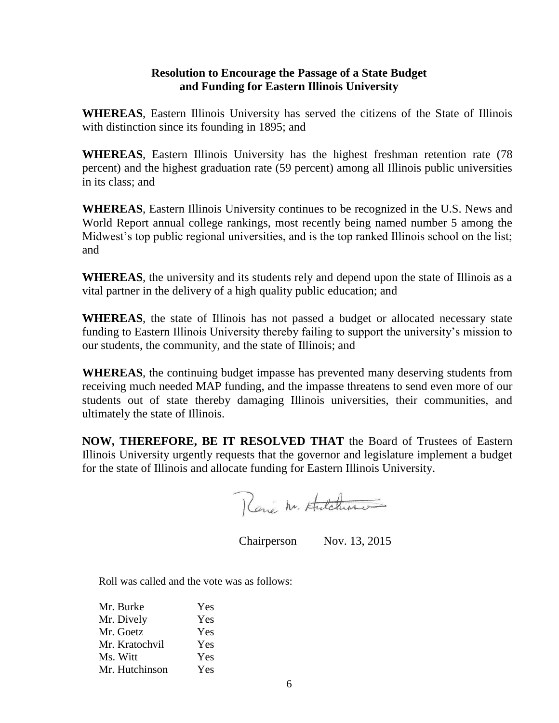# **Resolution to Encourage the Passage of a State Budget and Funding for Eastern Illinois University**

**WHEREAS**, Eastern Illinois University has served the citizens of the State of Illinois with distinction since its founding in 1895; and

**WHEREAS**, Eastern Illinois University has the highest freshman retention rate (78 percent) and the highest graduation rate (59 percent) among all Illinois public universities in its class; and

**WHEREAS**, Eastern Illinois University continues to be recognized in the U.S. News and World Report annual college rankings, most recently being named number 5 among the Midwest's top public regional universities, and is the top ranked Illinois school on the list; and

**WHEREAS**, the university and its students rely and depend upon the state of Illinois as a vital partner in the delivery of a high quality public education; and

**WHEREAS**, the state of Illinois has not passed a budget or allocated necessary state funding to Eastern Illinois University thereby failing to support the university's mission to our students, the community, and the state of Illinois; and

**WHEREAS**, the continuing budget impasse has prevented many deserving students from receiving much needed MAP funding, and the impasse threatens to send even more of our students out of state thereby damaging Illinois universities, their communities, and ultimately the state of Illinois.

**NOW, THEREFORE, BE IT RESOLVED THAT** the Board of Trustees of Eastern Illinois University urgently requests that the governor and legislature implement a budget for the state of Illinois and allocate funding for Eastern Illinois University.

René M. Hutchme

Chairperson Nov. 13, 2015

Roll was called and the vote was as follows:

| Mr. Burke      | Yes |
|----------------|-----|
| Mr. Dively     | Yes |
| Mr. Goetz      | Yes |
| Mr. Kratochvil | Yes |
| Ms. Witt       | Yes |
| Mr. Hutchinson | Yes |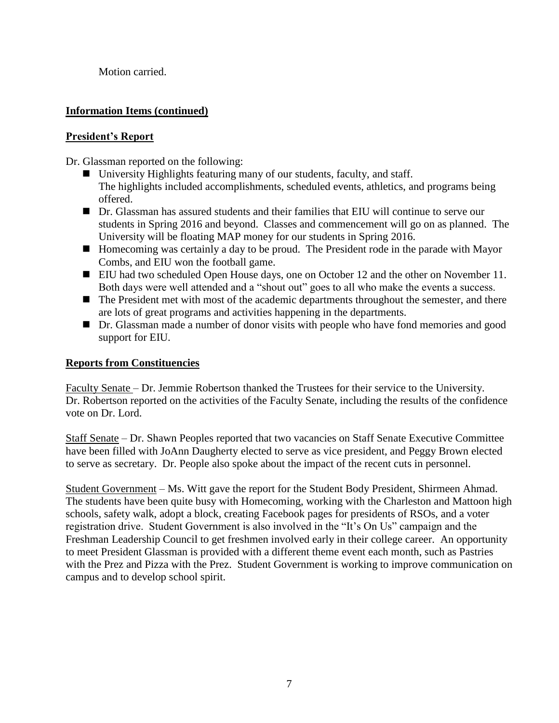Motion carried.

# **Information Items (continued)**

# **President's Report**

Dr. Glassman reported on the following:

- University Highlights featuring many of our students, faculty, and staff. The highlights included accomplishments, scheduled events, athletics, and programs being offered.
- Dr. Glassman has assured students and their families that EIU will continue to serve our students in Spring 2016 and beyond. Classes and commencement will go on as planned. The University will be floating MAP money for our students in Spring 2016.
- Homecoming was certainly a day to be proud. The President rode in the parade with Mayor Combs, and EIU won the football game.
- EIU had two scheduled Open House days, one on October 12 and the other on November 11. Both days were well attended and a "shout out" goes to all who make the events a success.
- The President met with most of the academic departments throughout the semester, and there are lots of great programs and activities happening in the departments.
- Dr. Glassman made a number of donor visits with people who have fond memories and good support for EIU.

# **Reports from Constituencies**

Faculty Senate – Dr. Jemmie Robertson thanked the Trustees for their service to the University. Dr. Robertson reported on the activities of the Faculty Senate, including the results of the confidence vote on Dr. Lord.

Staff Senate – Dr. Shawn Peoples reported that two vacancies on Staff Senate Executive Committee have been filled with JoAnn Daugherty elected to serve as vice president, and Peggy Brown elected to serve as secretary. Dr. People also spoke about the impact of the recent cuts in personnel.

Student Government – Ms. Witt gave the report for the Student Body President, Shirmeen Ahmad. The students have been quite busy with Homecoming, working with the Charleston and Mattoon high schools, safety walk, adopt a block, creating Facebook pages for presidents of RSOs, and a voter registration drive. Student Government is also involved in the "It's On Us" campaign and the Freshman Leadership Council to get freshmen involved early in their college career. An opportunity to meet President Glassman is provided with a different theme event each month, such as Pastries with the Prez and Pizza with the Prez. Student Government is working to improve communication on campus and to develop school spirit.